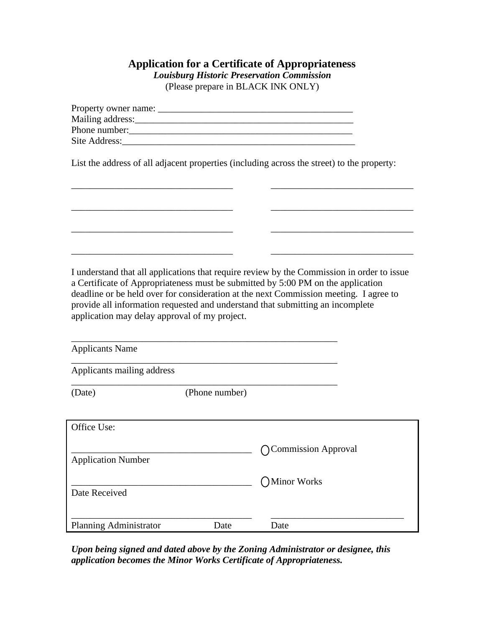## **Application for a Certificate of Appropriateness** *Louisburg Historic Preservation Commission*

(Please prepare in BLACK INK ONLY)

| Property owner name: |  |
|----------------------|--|
| Mailing address:     |  |
| Phone number:        |  |
| Site Address:        |  |
|                      |  |

List the address of all adjacent properties (including across the street) to the property:

\_\_\_\_\_\_\_\_\_\_\_\_\_\_\_\_\_\_\_\_\_\_\_\_\_\_\_\_\_\_\_\_\_\_ \_\_\_\_\_\_\_\_\_\_\_\_\_\_\_\_\_\_\_\_\_\_\_\_\_\_\_\_\_\_

\_\_\_\_\_\_\_\_\_\_\_\_\_\_\_\_\_\_\_\_\_\_\_\_\_\_\_\_\_\_\_\_\_\_ \_\_\_\_\_\_\_\_\_\_\_\_\_\_\_\_\_\_\_\_\_\_\_\_\_\_\_\_\_\_

\_\_\_\_\_\_\_\_\_\_\_\_\_\_\_\_\_\_\_\_\_\_\_\_\_\_\_\_\_\_\_\_\_\_ \_\_\_\_\_\_\_\_\_\_\_\_\_\_\_\_\_\_\_\_\_\_\_\_\_\_\_\_\_\_

\_\_\_\_\_\_\_\_\_\_\_\_\_\_\_\_\_\_\_\_\_\_\_\_\_\_\_\_\_\_\_\_\_\_ \_\_\_\_\_\_\_\_\_\_\_\_\_\_\_\_\_\_\_\_\_\_\_\_\_\_\_\_\_\_

I understand that all applications that require review by the Commission in order to issue a Certificate of Appropriateness must be submitted by 5:00 PM on the application deadline or be held over for consideration at the next Commission meeting. I agree to provide all information requested and understand that submitting an incomplete application may delay approval of my project.

| <b>Applicants Name</b>     |                |                     |  |
|----------------------------|----------------|---------------------|--|
| Applicants mailing address |                |                     |  |
| (Date)                     | (Phone number) |                     |  |
| Office Use:                |                |                     |  |
| <b>Application Number</b>  |                | Commission Approval |  |
| Date Received              |                | Minor Works         |  |
| Planning Administrator     | Date           | Date                |  |

*Upon being signed and dated above by the Zoning Administrator or designee, this application becomes the Minor Works Certificate of Appropriateness.*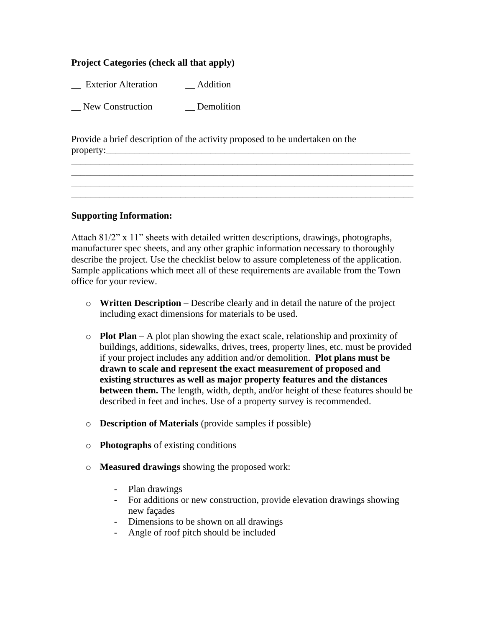## **Project Categories (check all that apply)**

\_\_ Exterior Alteration \_\_ Addition

\_\_ New Construction \_\_ Demolition

Provide a brief description of the activity proposed to be undertaken on the property:\_\_\_\_\_\_\_\_\_\_\_\_\_\_\_\_\_\_\_\_\_\_\_\_\_\_\_\_\_\_\_\_\_\_\_\_\_\_\_\_\_\_\_\_\_\_\_\_\_\_\_\_\_\_\_\_\_\_\_\_\_\_\_\_

## **Supporting Information:**

Attach 81/2" x 11" sheets with detailed written descriptions, drawings, photographs, manufacturer spec sheets, and any other graphic information necessary to thoroughly describe the project. Use the checklist below to assure completeness of the application. Sample applications which meet all of these requirements are available from the Town office for your review.

\_\_\_\_\_\_\_\_\_\_\_\_\_\_\_\_\_\_\_\_\_\_\_\_\_\_\_\_\_\_\_\_\_\_\_\_\_\_\_\_\_\_\_\_\_\_\_\_\_\_\_\_\_\_\_\_\_\_\_\_\_\_\_\_\_\_\_\_\_\_\_\_ \_\_\_\_\_\_\_\_\_\_\_\_\_\_\_\_\_\_\_\_\_\_\_\_\_\_\_\_\_\_\_\_\_\_\_\_\_\_\_\_\_\_\_\_\_\_\_\_\_\_\_\_\_\_\_\_\_\_\_\_\_\_\_\_\_\_\_\_\_\_\_\_ \_\_\_\_\_\_\_\_\_\_\_\_\_\_\_\_\_\_\_\_\_\_\_\_\_\_\_\_\_\_\_\_\_\_\_\_\_\_\_\_\_\_\_\_\_\_\_\_\_\_\_\_\_\_\_\_\_\_\_\_\_\_\_\_\_\_\_\_\_\_\_\_ \_\_\_\_\_\_\_\_\_\_\_\_\_\_\_\_\_\_\_\_\_\_\_\_\_\_\_\_\_\_\_\_\_\_\_\_\_\_\_\_\_\_\_\_\_\_\_\_\_\_\_\_\_\_\_\_\_\_\_\_\_\_\_\_\_\_\_\_\_\_\_\_

- o **Written Description** Describe clearly and in detail the nature of the project including exact dimensions for materials to be used.
- o **Plot Plan** A plot plan showing the exact scale, relationship and proximity of buildings, additions, sidewalks, drives, trees, property lines, etc. must be provided if your project includes any addition and/or demolition. **Plot plans must be drawn to scale and represent the exact measurement of proposed and existing structures as well as major property features and the distances between them.** The length, width, depth, and/or height of these features should be described in feet and inches. Use of a property survey is recommended.
- o **Description of Materials** (provide samples if possible)
- o **Photographs** of existing conditions
- o **Measured drawings** showing the proposed work:
	- Plan drawings
	- For additions or new construction, provide elevation drawings showing new façades
	- Dimensions to be shown on all drawings
	- Angle of roof pitch should be included